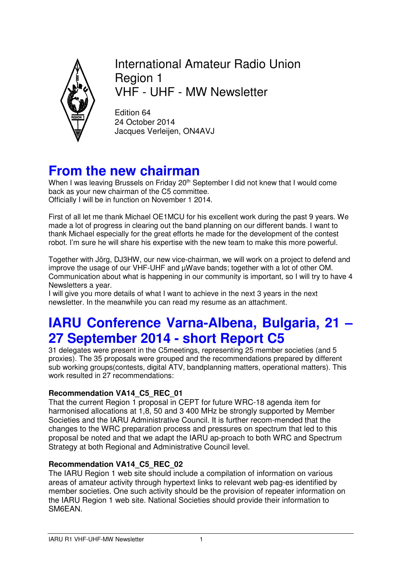

International Amateur Radio Union Region 1 VHF - UHF - MW Newsletter

Edition 64 24 October 2014 Jacques Verleijen, ON4AVJ

## **From the new chairman**

When I was leaving Brussels on Friday 20<sup>th</sup> September I did not knew that I would come back as your new chairman of the C5 committee. Officially I will be in function on November 1 2014.

First of all let me thank Michael OE1MCU for his excellent work during the past 9 years. We made a lot of progress in clearing out the band planning on our different bands. I want to thank Michael especially for the great efforts he made for the development of the contest robot. I'm sure he will share his expertise with the new team to make this more powerful.

Together with Jörg, DJ3HW, our new vice-chairman, we will work on a project to defend and improve the usage of our VHF-UHF and µWave bands; together with a lot of other OM. Communication about what is happening in our community is important, so I will try to have 4 Newsletters a year.

I will give you more details of what I want to achieve in the next 3 years in the next newsletter. In the meanwhile you can read my resume as an attachment.

# **IARU Conference Varna-Albena, Bulgaria, 21 – 27 September 2014 - short Report C5**

31 delegates were present in the C5meetings, representing 25 member societies (and 5 proxies). The 35 proposals were grouped and the recommendations prepared by different sub working groups(contests, digital ATV, bandplanning matters, operational matters). This work resulted in 27 recommendations:

## **Recommendation VA14\_C5\_REC\_01**

That the current Region 1 proposal in CEPT for future WRC-18 agenda item for harmonised allocations at 1,8, 50 and 3 400 MHz be strongly supported by Member Societies and the IARU Administrative Council. It is further recom-mended that the changes to the WRC preparation process and pressures on spectrum that led to this proposal be noted and that we adapt the IARU ap-proach to both WRC and Spectrum Strategy at both Regional and Administrative Council level.

#### **Recommendation VA14\_C5\_REC\_02**

The IARU Region 1 web site should include a compilation of information on various areas of amateur activity through hypertext links to relevant web pag-es identified by member societies. One such activity should be the provision of repeater information on the IARU Region 1 web site. National Societies should provide their information to SM6EAN.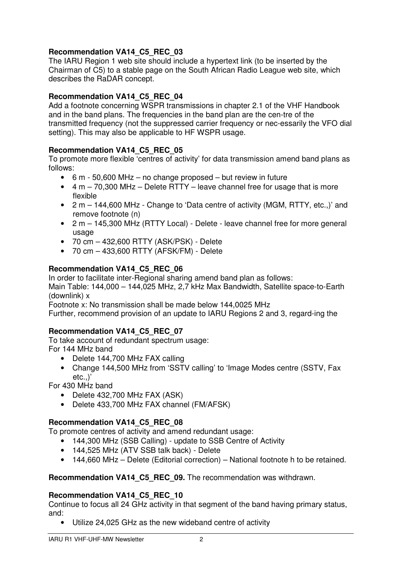### **Recommendation VA14\_C5\_REC\_03**

The IARU Region 1 web site should include a hypertext link (to be inserted by the Chairman of C5) to a stable page on the South African Radio League web site, which describes the RaDAR concept.

#### **Recommendation VA14\_C5\_REC\_04**

Add a footnote concerning WSPR transmissions in chapter 2.1 of the VHF Handbook and in the band plans. The frequencies in the band plan are the cen-tre of the transmitted frequency (not the suppressed carrier frequency or nec-essarily the VFO dial setting). This may also be applicable to HF WSPR usage.

#### **Recommendation VA14\_C5\_REC\_05**

To promote more flexible 'centres of activity' for data transmission amend band plans as follows:

- 6 m 50,600 MHz no change proposed but review in future
- $\bullet$  4 m 70,300 MHz Delete RTTY leave channel free for usage that is more flexible
- 2 m 144,600 MHz Change to 'Data centre of activity (MGM, RTTY, etc.,)' and remove footnote (n)
- 2 m 145,300 MHz (RTTY Local) Delete leave channel free for more general usage
- 70 cm 432,600 RTTY (ASK/PSK) Delete
- 70 cm 433,600 RTTY (AFSK/FM) Delete

#### **Recommendation VA14\_C5\_REC\_06**

In order to facilitate inter-Regional sharing amend band plan as follows:

Main Table: 144,000 – 144,025 MHz, 2,7 kHz Max Bandwidth, Satellite space-to-Earth (downlink) x

Footnote x: No transmission shall be made below 144,0025 MHz

Further, recommend provision of an update to IARU Regions 2 and 3, regard-ing the

#### **Recommendation VA14\_C5\_REC\_07**

To take account of redundant spectrum usage: For 144 MHz band

- Delete 144,700 MHz FAX calling
- Change 144,500 MHz from 'SSTV calling' to 'Image Modes centre (SSTV, Fax etc.,)'

For 430 MHz band

- Delete 432,700 MHz FAX (ASK)
- Delete 433,700 MHz FAX channel (FM/AFSK)

#### **Recommendation VA14\_C5\_REC\_08**

To promote centres of activity and amend redundant usage:

- 144,300 MHz (SSB Calling) update to SSB Centre of Activity
- 144,525 MHz (ATV SSB talk back) Delete
- 144,660 MHz Delete (Editorial correction) National footnote h to be retained.

#### **Recommendation VA14\_C5\_REC\_09.** The recommendation was withdrawn.

#### **Recommendation VA14\_C5\_REC\_10**

Continue to focus all 24 GHz activity in that segment of the band having primary status, and:

• Utilize 24,025 GHz as the new wideband centre of activity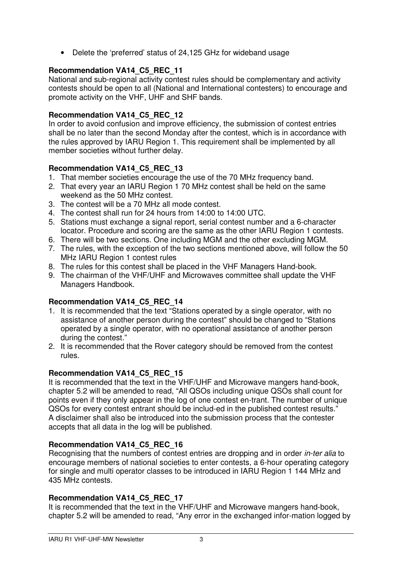• Delete the 'preferred' status of 24,125 GHz for wideband usage

## **Recommendation VA14\_C5\_REC\_11**

National and sub-regional activity contest rules should be complementary and activity contests should be open to all (National and International contesters) to encourage and promote activity on the VHF, UHF and SHF bands.

### **Recommendation VA14\_C5\_REC\_12**

In order to avoid confusion and improve efficiency, the submission of contest entries shall be no later than the second Monday after the contest, which is in accordance with the rules approved by IARU Region 1. This requirement shall be implemented by all member societies without further delay.

## **Recommendation VA14\_C5\_REC\_13**

- 1. That member societies encourage the use of the 70 MHz frequency band.
- 2. That every year an IARU Region 1 70 MHz contest shall be held on the same weekend as the 50 MHz contest.
- 3. The contest will be a 70 MHz all mode contest.
- 4. The contest shall run for 24 hours from 14:00 to 14:00 UTC.
- 5. Stations must exchange a signal report, serial contest number and a 6-character locator. Procedure and scoring are the same as the other IARU Region 1 contests.
- 6. There will be two sections. One including MGM and the other excluding MGM.
- 7. The rules, with the exception of the two sections mentioned above, will follow the 50 MHz IARU Region 1 contest rules
- 8. The rules for this contest shall be placed in the VHF Managers Hand-book.
- 9. The chairman of the VHF/UHF and Microwaves committee shall update the VHF Managers Handbook.

## **Recommendation VA14\_C5\_REC\_14**

- 1. It is recommended that the text "Stations operated by a single operator, with no assistance of another person during the contest" should be changed to "Stations operated by a single operator, with no operational assistance of another person during the contest."
- 2. It is recommended that the Rover category should be removed from the contest rules.

## **Recommendation VA14\_C5\_REC\_15**

It is recommended that the text in the VHF/UHF and Microwave mangers hand-book, chapter 5.2 will be amended to read, "All QSOs including unique QSOs shall count for points even if they only appear in the log of one contest en-trant. The number of unique QSOs for every contest entrant should be includ-ed in the published contest results." A disclaimer shall also be introduced into the submission process that the contester accepts that all data in the log will be published.

## **Recommendation VA14\_C5\_REC\_16**

Recognising that the numbers of contest entries are dropping and in order *in-ter alia* to encourage members of national societies to enter contests, a 6-hour operating category for single and multi operator classes to be introduced in IARU Region 1 144 MHz and 435 MHz contests.

## **Recommendation VA14\_C5\_REC\_17**

It is recommended that the text in the VHF/UHF and Microwave mangers hand-book, chapter 5.2 will be amended to read, "Any error in the exchanged infor-mation logged by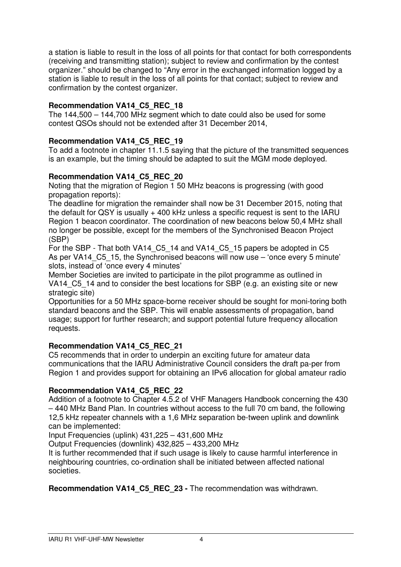a station is liable to result in the loss of all points for that contact for both correspondents (receiving and transmitting station); subject to review and confirmation by the contest organizer." should be changed to "Any error in the exchanged information logged by a station is liable to result in the loss of all points for that contact; subject to review and confirmation by the contest organizer.

## **Recommendation VA14\_C5\_REC\_18**

The 144,500 – 144,700 MHz segment which to date could also be used for some contest QSOs should not be extended after 31 December 2014,

## **Recommendation VA14\_C5\_REC\_19**

To add a footnote in chapter 11.1.5 saying that the picture of the transmitted sequences is an example, but the timing should be adapted to suit the MGM mode deployed.

## **Recommendation VA14\_C5\_REC\_20**

Noting that the migration of Region 1 50 MHz beacons is progressing (with good propagation reports):

The deadline for migration the remainder shall now be 31 December 2015, noting that the default for QSY is usually + 400 kHz unless a specific request is sent to the IARU Region 1 beacon coordinator. The coordination of new beacons below 50,4 MHz shall no longer be possible, except for the members of the Synchronised Beacon Project (SBP)

For the SBP - That both VA14\_C5\_14 and VA14\_C5\_15 papers be adopted in C5 As per VA14 C5 15, the Synchronised beacons will now use – 'once every 5 minute' slots, instead of 'once every 4 minutes'

Member Societies are invited to participate in the pilot programme as outlined in VA14 C5 14 and to consider the best locations for SBP (e.g. an existing site or new strategic site)

Opportunities for a 50 MHz space-borne receiver should be sought for moni-toring both standard beacons and the SBP. This will enable assessments of propagation, band usage; support for further research; and support potential future frequency allocation requests.

#### **Recommendation VA14\_C5\_REC\_21**

C5 recommends that in order to underpin an exciting future for amateur data communications that the IARU Administrative Council considers the draft pa-per from Region 1 and provides support for obtaining an IPv6 allocation for global amateur radio

#### **Recommendation VA14\_C5\_REC\_22**

Addition of a footnote to Chapter 4.5.2 of VHF Managers Handbook concerning the 430 – 440 MHz Band Plan. In countries without access to the full 70 cm band, the following 12,5 kHz repeater channels with a 1,6 MHz separation be-tween uplink and downlink can be implemented:

Input Frequencies (uplink) 431,225 – 431,600 MHz

Output Frequencies (downlink) 432,825 – 433,200 MHz

It is further recommended that if such usage is likely to cause harmful interference in neighbouring countries, co-ordination shall be initiated between affected national societies.

**Recommendation VA14\_C5\_REC\_23 -** The recommendation was withdrawn.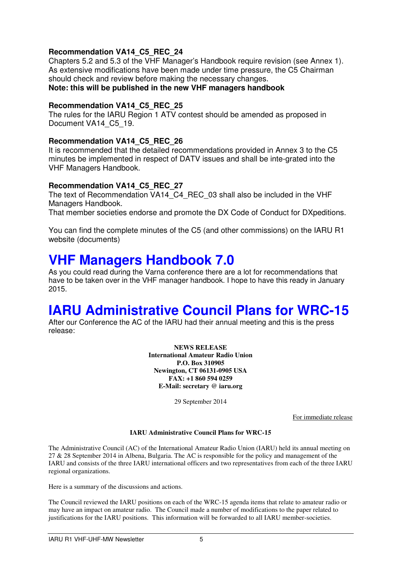#### **Recommendation VA14\_C5\_REC\_24**

Chapters 5.2 and 5.3 of the VHF Manager's Handbook require revision (see Annex 1). As extensive modifications have been made under time pressure, the C5 Chairman should check and review before making the necessary changes. **Note: this will be published in the new VHF managers handbook** 

#### **Recommendation VA14\_C5\_REC\_25**

The rules for the IARU Region 1 ATV contest should be amended as proposed in Document VA14\_C5\_19.

#### **Recommendation VA14\_C5\_REC\_26**

It is recommended that the detailed recommendations provided in Annex 3 to the C5 minutes be implemented in respect of DATV issues and shall be inte-grated into the VHF Managers Handbook.

#### **Recommendation VA14\_C5\_REC\_27**

The text of Recommendation VA14\_C4\_REC\_03 shall also be included in the VHF Managers Handbook.

That member societies endorse and promote the DX Code of Conduct for DXpeditions.

You can find the complete minutes of the C5 (and other commissions) on the IARU R1 website (documents)

## **VHF Managers Handbook 7.0**

As you could read during the Varna conference there are a lot for recommendations that have to be taken over in the VHF manager handbook. I hope to have this ready in January 2015.

## **IARU Administrative Council Plans for WRC-15**

After our Conference the AC of the IARU had their annual meeting and this is the press release:

> **NEWS RELEASE International Amateur Radio Union P.O. Box 310905 Newington, CT 06131-0905 USA FAX: +1 860 594 0259 E-Mail: secretary @ iaru.org**

> > 29 September 2014

For immediate release

#### **IARU Administrative Council Plans for WRC-15**

The Administrative Council (AC) of the International Amateur Radio Union (IARU) held its annual meeting on 27 & 28 September 2014 in Albena, Bulgaria. The AC is responsible for the policy and management of the IARU and consists of the three IARU international officers and two representatives from each of the three IARU regional organizations.

Here is a summary of the discussions and actions.

The Council reviewed the IARU positions on each of the WRC-15 agenda items that relate to amateur radio or may have an impact on amateur radio. The Council made a number of modifications to the paper related to justifications for the IARU positions. This information will be forwarded to all IARU member-societies.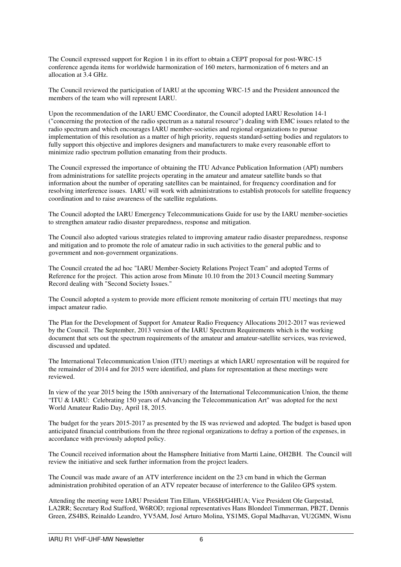The Council expressed support for Region 1 in its effort to obtain a CEPT proposal for post-WRC-15 conference agenda items for worldwide harmonization of 160 meters, harmonization of 6 meters and an allocation at 3.4 GHz.

The Council reviewed the participation of IARU at the upcoming WRC-15 and the President announced the members of the team who will represent IARU.

Upon the recommendation of the IARU EMC Coordinator, the Council adopted IARU Resolution 14-1 ("concerning the protection of the radio spectrum as a natural resource") dealing with EMC issues related to the radio spectrum and which encourages IARU member-societies and regional organizations to pursue implementation of this resolution as a matter of high priority, requests standard-setting bodies and regulators to fully support this objective and implores designers and manufacturers to make every reasonable effort to minimize radio spectrum pollution emanating from their products.

The Council expressed the importance of obtaining the ITU Advance Publication Information (API) numbers from administrations for satellite projects operating in the amateur and amateur satellite bands so that information about the number of operating satellites can be maintained, for frequency coordination and for resolving interference issues. IARU will work with administrations to establish protocols for satellite frequency coordination and to raise awareness of the satellite regulations.

The Council adopted the IARU Emergency Telecommunications Guide for use by the IARU member-societies to strengthen amateur radio disaster preparedness, response and mitigation.

The Council also adopted various strategies related to improving amateur radio disaster preparedness, response and mitigation and to promote the role of amateur radio in such activities to the general public and to government and non-government organizations.

The Council created the ad hoc "IARU Member-Society Relations Project Team" and adopted Terms of Reference for the project. This action arose from Minute 10.10 from the 2013 Council meeting Summary Record dealing with "Second Society Issues."

The Council adopted a system to provide more efficient remote monitoring of certain ITU meetings that may impact amateur radio.

The Plan for the Development of Support for Amateur Radio Frequency Allocations 2012-2017 was reviewed by the Council. The September, 2013 version of the IARU Spectrum Requirements which is the working document that sets out the spectrum requirements of the amateur and amateur-satellite services, was reviewed, discussed and updated.

The International Telecommunication Union (ITU) meetings at which IARU representation will be required for the remainder of 2014 and for 2015 were identified, and plans for representation at these meetings were reviewed.

In view of the year 2015 being the 150th anniversary of the International Telecommunication Union, the theme "ITU & IARU: Celebrating 150 years of Advancing the Telecommunication Art" was adopted for the next World Amateur Radio Day, April 18, 2015.

The budget for the years 2015-2017 as presented by the IS was reviewed and adopted. The budget is based upon anticipated financial contributions from the three regional organizations to defray a portion of the expenses, in accordance with previously adopted policy.

The Council received information about the Hamsphere Initiative from Martti Laine, OH2BH. The Council will review the initiative and seek further information from the project leaders.

The Council was made aware of an ATV interference incident on the 23 cm band in which the German administration prohibited operation of an ATV repeater because of interference to the Galileo GPS system.

Attending the meeting were IARU President Tim Ellam, VE6SH/G4HUA; Vice President Ole Garpestad, LA2RR; Secretary Rod Stafford, W6ROD; regional representatives Hans Blondeel Timmerman, PB2T, Dennis Green, ZS4BS, Reinaldo Leandro, YV5AM, José Arturo Molina, YS1MS, Gopal Madhavan, VU2GMN, Wisnu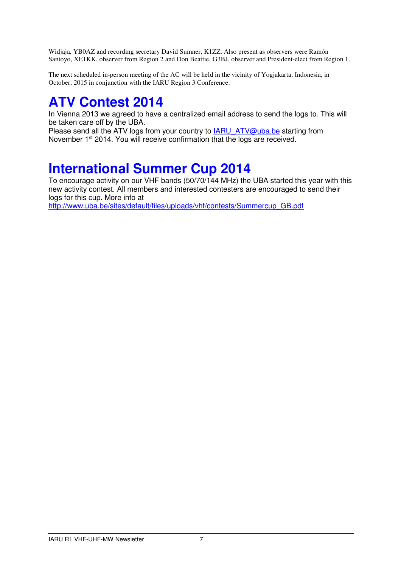Widjaja, YB0AZ and recording secretary David Sumner, K1ZZ. Also present as observers were Ramón Santoyo, XE1KK, observer from Region 2 and Don Beattie, G3BJ, observer and President-elect from Region 1.

The next scheduled in-person meeting of the AC will be held in the vicinity of Yogjakarta, Indonesia, in October, 2015 in conjunction with the IARU Region 3 Conference.

# **ATV Contest 2014**

In Vienna 2013 we agreed to have a centralized email address to send the logs to. This will be taken care off by the UBA.

Please send all the ATV logs from your country to **IARU\_ATV@uba.be** starting from November 1<sup>st</sup> 2014. You will receive confirmation that the logs are received.

# **International Summer Cup 2014**

To encourage activity on our VHF bands (50/70/144 MHz) the UBA started this year with this new activity contest. All members and interested contesters are encouraged to send their logs for this cup. More info at

http://www.uba.be/sites/default/files/uploads/vhf/contests/Summercup\_GB.pdf